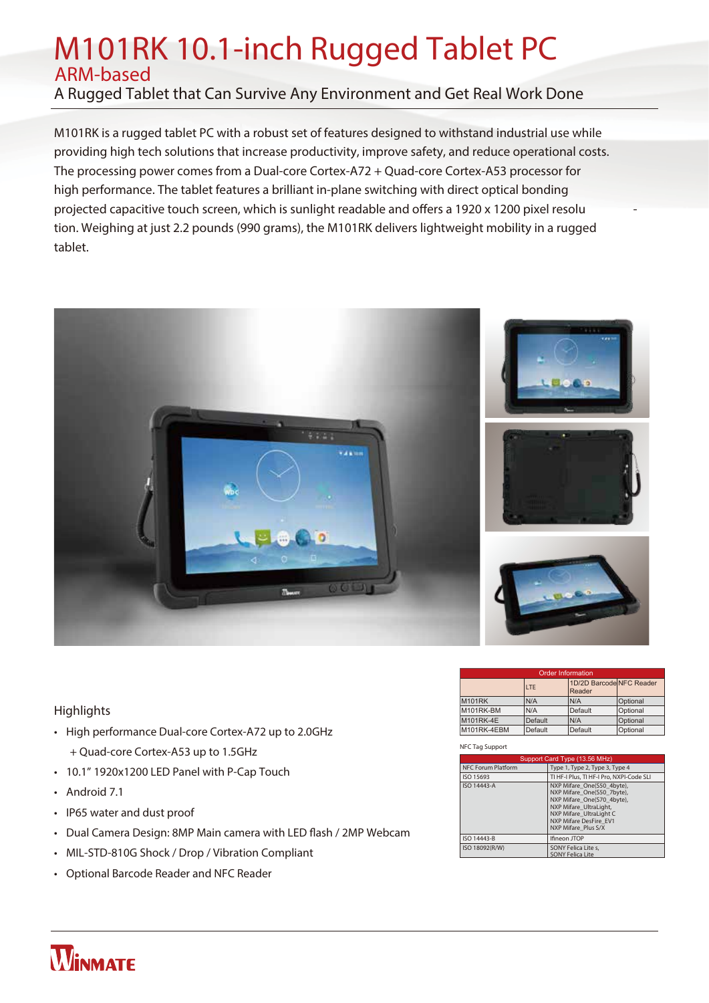# M101RK 10.1-inch Rugged Tablet PC ARM-based

A Rugged Tablet that Can Survive Any Environment and Get Real Work Done

M101RK is a rugged tablet PC with a robust set of features designed to withstand industrial use while providing high tech solutions that increase productivity, improve safety, and reduce operational costs. The processing power comes from a Dual-core Cortex-A72 + Quad-core Cortex-A53 processor for high performance. The tablet features a brilliant in-plane switching with direct optical bonding projected capacitive touch screen, which is sunlight readable and offers a 1920 x 1200 pixel resolu tion. Weighing at just 2.2 pounds (990 grams), the M101RK delivers lightweight mobility in a rugged tablet.



### **Highlights**

- High performance Dual-core Cortex-A72 up to 2.0GHz + Quad-core Cortex-A53 up to 1.5GHz
- 10.1" 1920x1200 LED Panel with P-Cap Touch
- Android 7.1

**WINMATE** 

- IP65 water and dust proof
- Dual Camera Design: 8MP Main camera with LED flash / 2MP Webcam
- MIL-STD-810G Shock / Drop / Vibration Compliant
- Optional Barcode Reader and NFC Reader

| <b>Order Information</b> |                |                                    |          |  |
|--------------------------|----------------|------------------------------------|----------|--|
|                          | <b>LTE</b>     | 1D/2D Barcode NFC Reader<br>Reader |          |  |
| <b>M101RK</b>            | N/A            | N/A                                | Optional |  |
| M101RK-BM                | N/A            | Default                            | Optional |  |
| <b>M101RK-4E</b>         | <b>Default</b> | N/A                                | Optional |  |
| M101RK-4EBM              | Default        | Default                            | Optional |  |

### **NFC Tag Support**

| Support Card Type (13.56 MHz) |                                                                                                                                                                                              |  |
|-------------------------------|----------------------------------------------------------------------------------------------------------------------------------------------------------------------------------------------|--|
| <b>NFC Forum Platform</b>     | Type 1, Type 2, Type 3, Type 4                                                                                                                                                               |  |
| ISO 15693                     | TI HF-I Plus, TI HF-I Pro, NXPI-Code SLI                                                                                                                                                     |  |
| ISO 14443-A                   | NXP Mifare One(S50 4byte),<br>NXP Mifare One(S50 7byte),<br>NXP Mifare One(S70 4byte),<br>NXP Mifare UltraLight,<br>NXP Mifare UltraLight C<br>NXP Mifare DesFire EV1<br>NXP Mifare Plus S/X |  |
| ISO 14443-B                   | Ifineon JTOP                                                                                                                                                                                 |  |
| ISO 18092(R/W)                | <b>SONY Felica Lite s.</b><br><b>SONY Felica Lite</b>                                                                                                                                        |  |